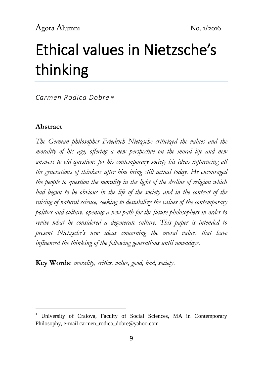# Ethical values in Nietzsche's thinking

*Carmen Rodica Dobre*

### **Abstract**

1

*The German philosopher Friedrich Nietzsche criticized the values and the morality of his age, offering a new perspective on the moral life and new answers to old questions for his contemporary society his ideas influencing all the generations of thinkers after him being still actual today. He encouraged the people to question the morality in the light of the decline of religion which had begun to be obvious in the life of the society and in the context of the raising of natural science, seeking to destabilize the values of the contemporary politics and culture, opening a new path for the future philosophers in order to revive what he considered a degenerate culture. This paper is intended to present Nietzsche's new ideas concerning the moral values that have influenced the thinking of the following generations until nowadays.*

**Key Words**: *morality, critics, value, good, bad, society*.

University of Craiova, Faculty of Social Sciences, MA in Contemporary Philosophy, e-mail carmen\_rodica\_dobre@yahoo.com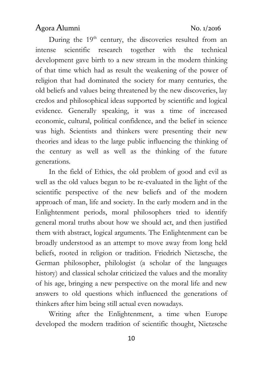During the  $19<sup>th</sup>$  century, the discoveries resulted from an intense scientific research together with the technical development gave birth to a new stream in the modern thinking of that time which had as result the weakening of the power of religion that had dominated the society for many centuries, the old beliefs and values being threatened by the new discoveries, lay credos and philosophical ideas supported by scientific and logical evidence. Generally speaking, it was a time of increased economic, cultural, political confidence, and the belief in science was high. Scientists and thinkers were presenting their new theories and ideas to the large public influencing the thinking of the century as well as well as the thinking of the future generations.

In the field of Ethics, the old problem of good and evil as well as the old values began to be re-evaluated in the light of the scientific perspective of the new beliefs and of the modern approach of man, life and society. In the early modern and in the Enlightenment periods, moral philosophers tried to identify general moral truths about how we should act, and then justified them with abstract, logical arguments. The Enlightenment can be broadly understood as an attempt to move away from long held beliefs, rooted in religion or tradition. Friedrich Nietzsche, the German philosopher, philologist (a scholar of the languages history) and classical scholar criticized the values and the morality of his age, bringing a new perspective on the moral life and new answers to old questions which influenced the generations of thinkers after him being still actual even nowadays.

Writing after the Enlightenment, a time when Europe developed the modern tradition of scientific thought, Nietzsche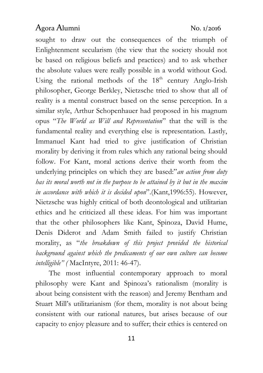sought to draw out the consequences of the triumph of Enlightenment secularism (the view that the society should not be based on religious beliefs and practices) and to ask whether the absolute values were really possible in a world without God. Using the rational methods of the  $18<sup>th</sup>$  century Anglo-Irish philosopher, George Berkley, Nietzsche tried to show that all of reality is a mental construct based on the sense perception. In a similar style, Arthur Schopenhauer had proposed in his magnum opus "*The World as Will and Representation*" that the will is the fundamental reality and everything else is representation. Lastly, Immanuel Kant had tried to give justification of Christian morality by deriving it from rules which any rational being should follow. For Kant, moral actions derive their worth from the underlying principles on which they are based:"*an action from duty has its moral worth not in the purpose to be attained by it but in the maxim in accordance with which it is decided upon*".(Kant,1996:55). However, Nietzsche was highly critical of both deontological and utilitarian ethics and he criticized all these ideas. For him was important that the other philosophers like Kant, Spinoza, David Hume, Denis Diderot and Adam Smith failed to justify Christian morality, as "*the breakdown of this project provided the historical background against which the predicaments of our own culture can become intelligible" (* MacIntyre, 2011: 46-47).

The most influential contemporary approach to moral philosophy were Kant and Spinoza's rationalism (morality is about being consistent with the reason) and Jeremy Bentham and Stuart Mill's utilitarianism (for them, morality is not about being consistent with our rational natures, but arises because of our capacity to enjoy pleasure and to suffer; their ethics is centered on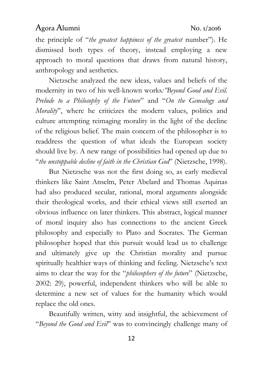the principle of "*the greatest happiness of the greatest* number"). He dismissed both types of theory, instead employing a new approach to moral questions that draws from natural history, anthropology and aesthetics.

Nietzsche analyzed the new ideas, values and beliefs of the modernity in two of his well-known works*:"Beyond Good and Evil. Prelude to a Philosophy of the Future*" and "*On the Genealogy and Morality*", where he criticizes the modern values, politics and culture attempting reimaging morality in the light of the decline of the religious belief. The main concern of the philosopher is to readdress the question of what ideals the European society should live by. A new range of possibilities had opened up due to "*the unstoppable decline of faith in the Christian God*" (Nietzsche, 1998).

But Nietzsche was not the first doing so, as early medieval thinkers like Saint Anselm, Peter Abelard and Thomas Aquinas had also produced secular, rational, moral arguments alongside their theological works, and their ethical views still exerted an obvious influence on later thinkers. This abstract, logical manner of moral inquiry also has connections to the ancient Greek philosophy and especially to Plato and Socrates. The German philosopher hoped that this pursuit would lead us to challenge and ultimately give up the Christian morality and pursue spiritually healthier ways of thinking and feeling. Nietzsche's text aims to clear the way for the "*philosophers of the future*" (Nietzsche, 2002: 29), powerful, independent thinkers who will be able to determine a new set of values for the humanity which would replace the old ones.

Beautifully written, witty and insightful, the achievement of "*Beyond the Good and Evil*" was to convincingly challenge many of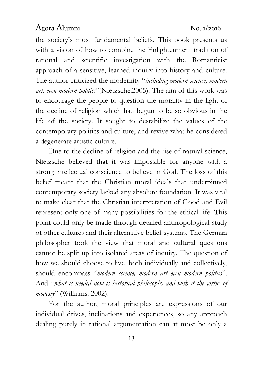the society's most fundamental beliefs. This book presents us with a vision of how to combine the Enlightenment tradition of rational and scientific investigation with the Romanticist approach of a sensitive, learned inquiry into history and culture. The author criticized the modernity "*including modern science, modern art, even modern politics*"(Nietzsche,2005). The aim of this work was to encourage the people to question the morality in the light of the decline of religion which had begun to be so obvious in the life of the society. It sought to destabilize the values of the contemporary politics and culture, and revive what he considered a degenerate artistic culture.

Due to the decline of religion and the rise of natural science, Nietzsche believed that it was impossible for anyone with a strong intellectual conscience to believe in God. The loss of this belief meant that the Christian moral ideals that underpinned contemporary society lacked any absolute foundation. It was vital to make clear that the Christian interpretation of Good and Evil represent only one of many possibilities for the ethical life. This point could only be made through detailed anthropological study of other cultures and their alternative belief systems. The German philosopher took the view that moral and cultural questions cannot be split up into isolated areas of inquiry. The question of how we should choose to live, both individually and collectively, should encompass "*modern science, modern art even modern politics*". And "*what is needed now is historical philosophy and with it the virtue of modesty*" (Williams, 2002).

For the author, moral principles are expressions of our individual drives, inclinations and experiences, so any approach dealing purely in rational argumentation can at most be only a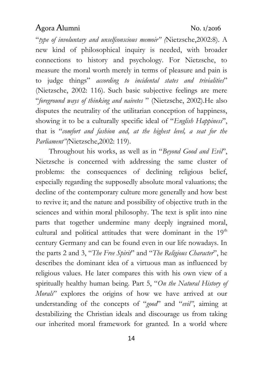"*type of involuntary and unselfconscious memoir" (*Nietzsche,2002:8). A new kind of philosophical inquiry is needed, with broader connections to history and psychology. For Nietzsche, to measure the moral worth merely in terms of pleasure and pain is to judge things" *according to incidental states and trivialities*" (Nietzsche, 2002: 116). Such basic subjective feelings are mere "*foreground ways of thinking and naivetes* " (Nietzsche, 2002).He also disputes the neutrality of the utilitarian conception of happiness, showing it to be a culturally specific ideal of "*English Happiness*", that is "*comfort and fashion and, at the highest level, a seat for the Parliament"(*Nietzsche,2002: 119).

Throughout his works, as well as in "*Beyond Good and Evil*", Nietzsche is concerned with addressing the same cluster of problems: the consequences of declining religious belief, especially regarding the supposedly absolute moral valuations; the decline of the contemporary culture more generally and how best to revive it; and the nature and possibility of objective truth in the sciences and within moral philosophy. The text is split into nine parts that together undermine many deeply ingrained moral, cultural and political attitudes that were dominant in the  $19<sup>th</sup>$ century Germany and can be found even in our life nowadays. In the parts 2 and 3, "*The Free Spirit*" and "*The Religious Character*", he describes the dominant idea of a virtuous man as influenced by religious values. He later compares this with his own view of a spiritually healthy human being. Part 5, "*On the Natural History of Morals*" explores the origins of how we have arrived at our understanding of the concepts of "*good*" and "*evil"*, aiming at destabilizing the Christian ideals and discourage us from taking our inherited moral framework for granted. In a world where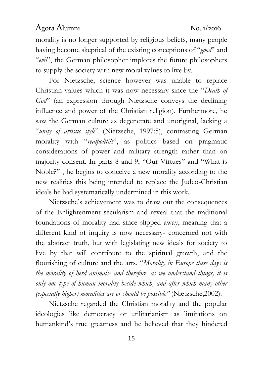morality is no longer supported by religious beliefs, many people having become skeptical of the existing conceptions of "*good*" and "*evil*", the German philosopher implores the future philosophers to supply the society with new moral values to live by.

For Nietzsche, science however was unable to replace Christian values which it was now necessary since the "*Death of God*" (an expression through Nietzsche conveys the declining influence and power of the Christian religion). Furthermore, he saw the German culture as degenerate and unoriginal, lacking a "*unity of artistic style*" (Nietzsche, 1997:5), contrasting German morality with "*realpolitik*", as politics based on pragmatic considerations of power and military strength rather than on majority consent. In parts 8 and 9, "Our Virtues" and "What is Noble?" , he begins to conceive a new morality according to the new realities this being intended to replace the Judeo-Christian ideals he had systematically undermined in this work.

Nietzsche's achievement was to draw out the consequences of the Enlightenment secularism and reveal that the traditional foundations of morality had since slipped away, meaning that a different kind of inquiry is now necessary- concerned not with the abstract truth, but with legislating new ideals for society to live by that will contribute to the spiritual growth, and the flourishing of culture and the arts. "*Morality in Europe these days is the morality of herd animals- and therefore, as we understand things, it is only one type of human morality beside which, and after which many other (especially higher) moralities are or should be possible"* (Nietzsche,2002).

Nietzsche regarded the Christian morality and the popular ideologies like democracy or utilitarianism as limitations on humankind's true greatness and he believed that they hindered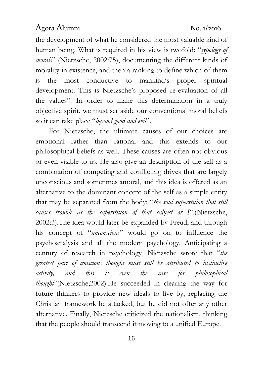the development of what he considered the most valuable kind of human being. What is required in his view is twofold: "*typology of morals*" (Nietzsche, 2002:75), documenting the different kinds of morality in existence, and then a ranking to define which of them is the most conductive to mankind's proper spiritual development. This is Nietzsche's proposed re-evaluation of all the values". In order to make this determination in a truly objective spirit, we must set aside our conventional moral beliefs so it can take place "*beyond good and evil*".

For Nietzsche, the ultimate causes of our choices are emotional rather than rational and this extends to our philosophical beliefs as well. These causes are often not obvious or even visible to us. He also give an description of the self as a combination of competing and conflicting drives that are largely unconscious and sometimes amoral, and this idea is offered as an alternative to the dominant concept of the self as a simple entity that may be separated from the body: "*the soul superstition that still causes trouble as the superstition of that subject or I*".(Nietzsche, 2002:3).The idea would later be expanded by Freud, and through his concept of "*unconscious*" would go on to influence the psychoanalysis and all the modern psychology. Anticipating a century of research in psychology, Nietzsche wrote that "*the greatest part of conscious thought must still be attributed to instinctive activity, and this is even the case for philosophical thought*"(Nietzsche,2002).He succeeded in clearing the way for future thinkers to provide new ideals to live by, replacing the Christian framework he attacked, but he did not offer any other alternative. Finally, Nietzsche criticized the nationalism, thinking that the people should transcend it moving to a unified Europe.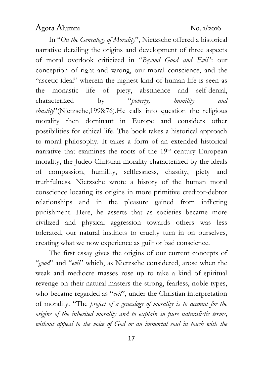In "*On the Genealogy of Morality*", Nietzsche offered a historical narrative detailing the origins and development of three aspects of moral overlook criticized in "*Beyond Good and Evil*": our conception of right and wrong, our moral conscience, and the "ascetic ideal" wherein the highest kind of human life is seen as the monastic life of piety, abstinence and self-denial, characterized by "*poverty, humility and chastity*"(Nietzsche,1998:76).He calls into question the religious morality then dominant in Europe and considers other possibilities for ethical life. The book takes a historical approach to moral philosophy. It takes a form of an extended historical narrative that examines the roots of the  $19<sup>th</sup>$  century European morality, the Judeo-Christian morality characterized by the ideals of compassion, humility, selflessness, chastity, piety and truthfulness. Nietzsche wrote a history of the human moral conscience locating its origins in more primitive creditor-debtor relationships and in the pleasure gained from inflicting punishment. Here, he asserts that as societies became more civilized and physical aggression towards others was less tolerated, our natural instincts to cruelty turn in on ourselves, creating what we now experience as guilt or bad conscience.

The first essay gives the origins of our current concepts of "*good*" and "*evil*" which, as Nietzsche considered, arose when the weak and mediocre masses rose up to take a kind of spiritual revenge on their natural masters-the strong, fearless, noble types, who became regarded as "*evil*", under the Christian interpretation of morality. "The *project of a genealogy of morality is to account for the origins of the inherited morality and to explain in pure naturalistic terms, without appeal to the voice of God or an immortal soul in touch with the*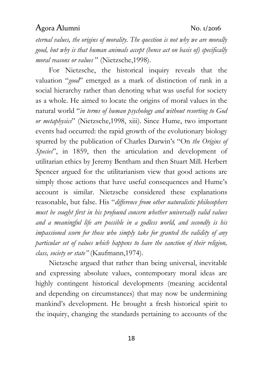*eternal values, the origins of morality. The question is not why we are morally good, but why is that human animals accept (hence act on basis of) specifically moral reasons or values* " (Nietzsche,1998).

For Nietzsche, the historical inquiry reveals that the valuation "*good*" emerged as a mark of distinction of rank in a social hierarchy rather than denoting what was useful for society as a whole. He aimed to locate the origins of moral values in the natural world "*in terms of human psychology and without resorting to God or metaphysics*" (Nietzsche,1998, xiii). Since Hume, two important events had occurred: the rapid growth of the evolutionary biology spurred by the publication of Charles Darwin's "On *the Origins of Species*", in 1859, then the articulation and development of utilitarian ethics by Jeremy Bentham and then Stuart Mill. Herbert Spencer argued for the utilitarianism view that good actions are simply those actions that have useful consequences and Hume's account is similar. Nietzsche considered these explanations reasonable, but false. His "*difference from other naturalistic philosophers must be sought first in his profound concern whether universally valid values and a meaningful life are possible in a godless world, and secondly is his impassioned scorn for those who simply take for granted the validity of any particular set of values which happens to have the sanction of their religion, class, society or state"* (Kaufmann,1974).

Nietzsche argued that rather than being universal, inevitable and expressing absolute values, contemporary moral ideas are highly contingent historical developments (meaning accidental and depending on circumstances) that may now be undermining mankind's development. He brought a fresh historical spirit to the inquiry, changing the standards pertaining to accounts of the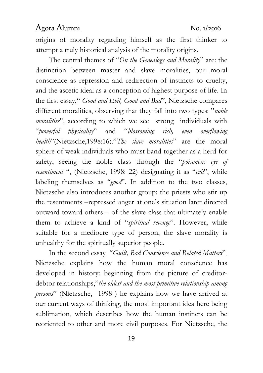origins of morality regarding himself as the first thinker to attempt a truly historical analysis of the morality origins.

The central themes of "*On the Genealogy and Morality*" are: the distinction between master and slave moralities, our moral conscience as repression and redirection of instincts to cruelty, and the ascetic ideal as a conception of highest purpose of life. In the first essay," *Good and Evil, Good and Bad*", Nietzsche compares different moralities, observing that they fall into two types: "*noble moralities*", according to which we see strong individuals with "*powerful physicality*" and "*blossoming rich, even overflowing health*"(Nietzsche,1998:16)."*The slave moralities*" are the moral sphere of weak individuals who must band together as a herd for safety, seeing the noble class through the "*poisonous eye of resentiment* ", (Nietzsche, 1998: 22) designating it as "*evil*", while labeling themselves as "*good*". In addition to the two classes, Nietzsche also introduces another group: the priests who stir up the resentments –repressed anger at one's situation later directed outward toward others – of the slave class that ultimately enable them to achieve a kind of "*spiritual revenge*". However, while suitable for a mediocre type of person, the slave morality is unhealthy for the spiritually superior people.

In the second essay, "*Guilt, Bad Conscience and Related Matters*", Nietzsche explains how the human moral conscience has developed in history: beginning from the picture of creditordebtor relationships,"*the oldest and the most primitive relationship among persons*" (Nietzsche, 1998 ) he explains how we have arrived at our current ways of thinking, the most important idea here being sublimation, which describes how the human instincts can be reoriented to other and more civil purposes. For Nietzsche, the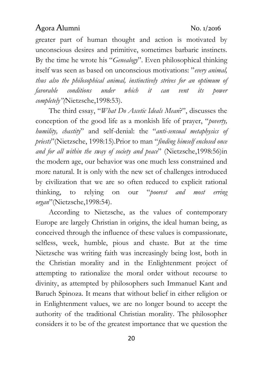greater part of human thought and action is motivated by unconscious desires and primitive, sometimes barbaric instincts. By the time he wrote his "*Genealogy*". Even philosophical thinking itself was seen as based on unconscious motivations: "*every animal, thus also the philosophical animal, instinctively strives for an optimum of favorable conditions under which it can vent its power completely"(*Nietzsche,1998:53).

The third essay, "*What Do Ascetic Ideals Mean*?", discusses the conception of the good life as a monkish life of prayer, "*poverty, humility, chastity*" and self-denial: the "*anti-sensual metaphysics of priests*"(Nietzsche, 1998:15).Prior to man "*finding himself enclosed once and for all within the sway of society and peace*" (Nietzsche,1998:56)in the modern age, our behavior was one much less constrained and more natural. It is only with the new set of challenges introduced by civilization that we are so often reduced to explicit rational thinking, to relying on our "*poorest and most erring organ*"(Nietzsche,1998:54).

According to Nietzsche, as the values of contemporary Europe are largely Christian in origins, the ideal human being, as conceived through the influence of these values is compassionate, selfless, week, humble, pious and chaste. But at the time Nietzsche was writing faith was increasingly being lost, both in the Christian morality and in the Enlightenment project of attempting to rationalize the moral order without recourse to divinity, as attempted by philosophers such Immanuel Kant and Baruch Spinoza. It means that without belief in either religion or in Enlightenment values, we are no longer bound to accept the authority of the traditional Christian morality. The philosopher considers it to be of the greatest importance that we question the